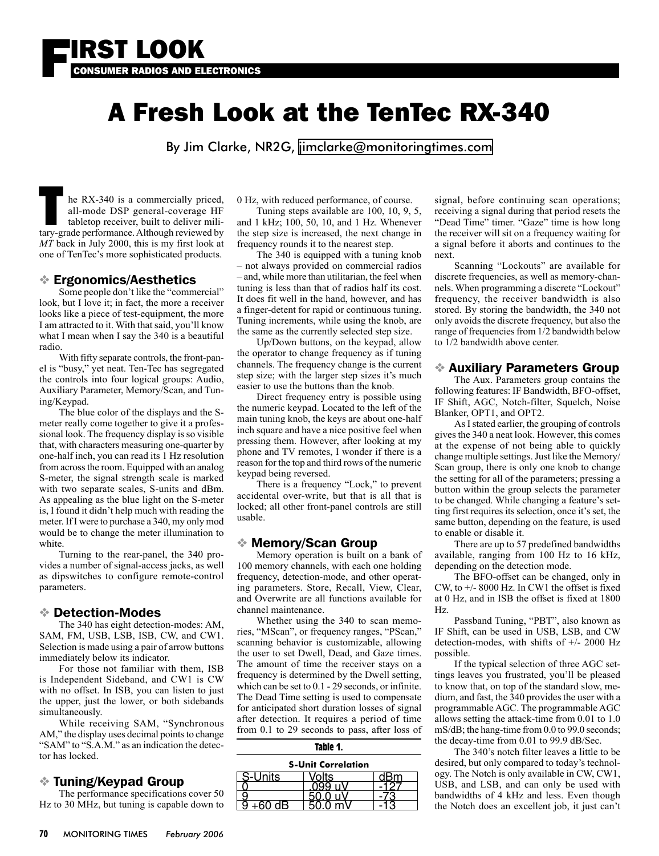

# A Fresh Look at the TenTec RX-340

By Jim Clarke, NR2G, [jimclarke@monitoringtimes.com](mailto:jimclarke@monitoringtimes.com)

The RX-340 is a commercially priced, all-mode DSP general-coverage HF tabletop receiver, built to deliver military-grade performance. Although reviewed by all-mode DSP general-coverage HF tabletop receiver, built to deliver mili-*MT* back in July 2000, this is my first look at one of TenTec's more sophisticated products.

## ❖ Ergonomics/Aesthetics

 Some people don't like the "commercial" look, but I love it; in fact, the more a receiver looks like a piece of test-equipment, the more I am attracted to it. With that said, you'll know what I mean when I say the 340 is a beautiful radio.

 With fifty separate controls, the front-panel is "busy," yet neat. Ten-Tec has segregated the controls into four logical groups: Audio, Auxiliary Parameter, Memory/Scan, and Tuning/Keypad.

 The blue color of the displays and the Smeter really come together to give it a professional look. The frequency display is so visible that, with characters measuring one-quarter by one-half inch, you can read its 1 Hz resolution from across the room. Equipped with an analog S-meter, the signal strength scale is marked with two separate scales, S-units and dBm. As appealing as the blue light on the S-meter is, I found it didn't help much with reading the meter. If I were to purchase a 340, my only mod would be to change the meter illumination to white.

 Turning to the rear-panel, the 340 provides a number of signal-access jacks, as well as dipswitches to configure remote-control parameters.

#### ❖ Detection-Modes

 The 340 has eight detection-modes: AM, SAM, FM, USB, LSB, ISB, CW, and CW1. Selection is made using a pair of arrow buttons immediately below its indicator.

 For those not familiar with them, ISB is Independent Sideband, and CW1 is CW with no offset. In ISB, you can listen to just the upper, just the lower, or both sidebands simultaneously.

 While receiving SAM, "Synchronous AM," the display uses decimal points to change "SAM" to "S.A.M." as an indication the detector has locked.

#### ❖ Tuning/Keypad Group

 The performance specifications cover 50 Hz to 30 MHz, but tuning is capable down to 0 Hz, with reduced performance, of course.

 Tuning steps available are 100, 10, 9, 5, and 1 kHz; 100, 50, 10, and 1 Hz. Whenever the step size is increased, the next change in frequency rounds it to the nearest step.

 The 340 is equipped with a tuning knob – not always provided on commercial radios – and, while more than utilitarian, the feel when tuning is less than that of radios half its cost. It does fit well in the hand, however, and has a finger-detent for rapid or continuous tuning. Tuning increments, while using the knob, are the same as the currently selected step size.

 Up/Down buttons, on the keypad, allow the operator to change frequency as if tuning channels. The frequency change is the current step size; with the larger step sizes it's much easier to use the buttons than the knob.

 Direct frequency entry is possible using the numeric keypad. Located to the left of the main tuning knob, the keys are about one-half inch square and have a nice positive feel when pressing them. However, after looking at my phone and TV remotes, I wonder if there is a reason for the top and third rows of the numeric keypad being reversed.

 There is a frequency "Lock," to prevent accidental over-write, but that is all that is locked; all other front-panel controls are still usable.

#### ❖ Memory/Scan Group

 Memory operation is built on a bank of 100 memory channels, with each one holding frequency, detection-mode, and other operating parameters. Store, Recall, View, Clear, and Overwrite are all functions available for channel maintenance.

 Whether using the 340 to scan memories, "MScan", or frequency ranges, "PScan," scanning behavior is customizable, allowing the user to set Dwell, Dead, and Gaze times. The amount of time the receiver stays on a frequency is determined by the Dwell setting, which can be set to 0.1 - 29 seconds, or infinite. The Dead Time setting is used to compensate for anticipated short duration losses of signal after detection. It requires a period of time from 0.1 to 29 seconds to pass, after loss of

| <b>S-Unit Correlation</b> |    |  |
|---------------------------|----|--|
| Units                     | ts |  |
|                           |    |  |
|                           |    |  |
|                           |    |  |

**Table 1.**

signal, before continuing scan operations; receiving a signal during that period resets the "Dead Time" timer. "Gaze" time is how long the receiver will sit on a frequency waiting for a signal before it aborts and continues to the next.

 Scanning "Lockouts" are available for discrete frequencies, as well as memory-channels. When programming a discrete "Lockout" frequency, the receiver bandwidth is also stored. By storing the bandwidth, the 340 not only avoids the discrete frequency, but also the range of frequencies from 1/2 bandwidth below to 1/2 bandwidth above center.

## ❖ Auxiliary Parameters Group

 The Aux. Parameters group contains the following features: IF Bandwidth, BFO-offset, IF Shift, AGC, Notch-filter, Squelch, Noise Blanker, OPT1, and OPT2.

 As I stated earlier, the grouping of controls gives the 340 a neat look. However, this comes at the expense of not being able to quickly change multiple settings. Just like the Memory/ Scan group, there is only one knob to change the setting for all of the parameters; pressing a button within the group selects the parameter to be changed. While changing a feature's setting first requires its selection, once it's set, the same button, depending on the feature, is used to enable or disable it.

 There are up to 57 predefined bandwidths available, ranging from 100 Hz to 16 kHz, depending on the detection mode.

 The BFO-offset can be changed, only in CW, to +/- 8000 Hz. In CW1 the offset is fixed at 0 Hz, and in ISB the offset is fixed at 1800 Hz.

 Passband Tuning, "PBT", also known as IF Shift, can be used in USB, LSB, and CW detection-modes, with shifts of +/- 2000 Hz possible.

 If the typical selection of three AGC settings leaves you frustrated, you'll be pleased to know that, on top of the standard slow, medium, and fast, the 340 provides the user with a programmable AGC. The programmable AGC allows setting the attack-time from 0.01 to 1.0 mS/dB; the hang-time from 0.0 to 99.0 seconds; the decay-time from 0.01 to 99.9 dB/Sec.

 The 340's notch filter leaves a little to be desired, but only compared to today's technology. The Notch is only available in CW, CW1, USB, and LSB, and can only be used with bandwidths of 4 kHz and less. Even though the Notch does an excellent job, it just can't